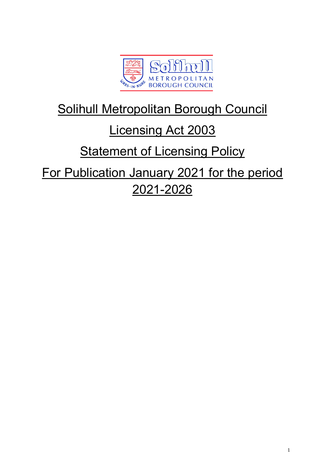

# Solihull Metropolitan Borough Council

# Licensing Act 2003

# **Statement of Licensing Policy**

For Publication January 2021 for the period 2021-2026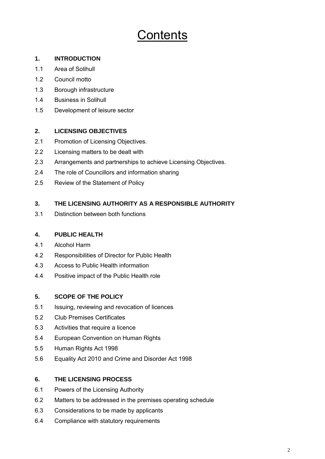# Contents

## **1. INTRODUCTION**

- 1.1 Area of Solihull
- 1.2 Council motto
- 1.3 Borough infrastructure
- 1.4 Business in Solihull
- 1.5 Development of leisure sector

# **2. LICENSING OBJECTIVES**

- 2.1 Promotion of Licensing Objectives.
- 2.2 Licensing matters to be dealt with
- 2.3 Arrangements and partnerships to achieve Licensing Objectives.
- 2.4 The role of Councillors and information sharing
- 2.5 Review of the Statement of Policy

# **3. THE LICENSING AUTHORITY AS A RESPONSIBLE AUTHORITY**

3.1 Distinction between both functions

## **4. PUBLIC HEALTH**

- 4.1 Alcohol Harm
- 4.2 Responsibilities of Director for Public Health
- 4.3 Access to Public Health information
- 4.4 Positive impact of the Public Health role

## **5. SCOPE OF THE POLICY**

- 5.1 Issuing, reviewing and revocation of licences
- 5.2 Club Premises Certificates
- 5.3 Activities that require a licence
- 5.4 European Convention on Human Rights
- 5.5 Human Rights Act 1998
- 5.6 Equality Act 2010 and Crime and Disorder Act 1998

# **6. THE LICENSING PROCESS**

- 6.1 Powers of the Licensing Authority
- 6.2 Matters to be addressed in the premises operating schedule
- 6.3 Considerations to be made by applicants
- 6.4 Compliance with statutory requirements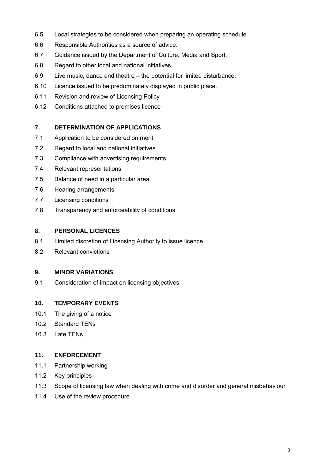- 6.5 Local strategies to be considered when preparing an operating schedule
- 6.6 Responsible Authorities as a source of advice.
- 6.7 Guidance issued by the Department of Culture, Media and Sport.
- 6.8 Regard to other local and national initiatives
- 6.9 Live music, dance and theatre the potential for limited disturbance.
- 6.10 Licence issued to be predominately displayed in public place.
- 6.11 Revision and review of Licensing Policy
- 6.12 Conditions attached to premises licence

## **7. DETERMINATION OF APPLICATIONS**

- 7.1 Application to be considered on merit
- 7.2 Regard to local and national initiatives
- 7.3 Compliance with advertising requirements
- 7.4 Relevant representations
- 7.5 Balance of need in a particular area
- 7.6 Hearing arrangements
- 7.7 Licensing conditions
- 7.8 Transparency and enforceability of conditions

#### **8. PERSONAL LICENCES**

- 8.1 Limited discretion of Licensing Authority to issue licence
- 8.2 Relevant convictions

## **9. MINOR VARIATIONS**

9.1 Consideration of impact on licensing objectives

## **10. TEMPORARY EVENTS**

- 10.1 The giving of a notice
- 10.2 Standard TENs
- 10.3 Late TENs

#### **11. ENFORCEMENT**

- 11.1 Partnership working
- 11.2 Key principles
- 11.3 Scope of licensing law when dealing with crime and disorder and general misbehaviour
- 11.4 Use of the review procedure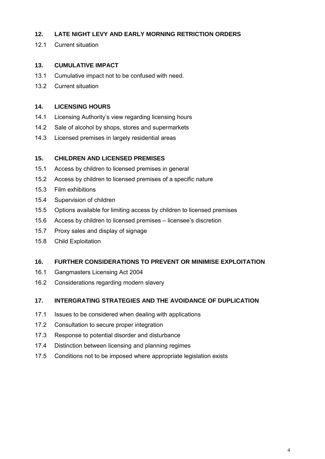## **12. LATE NIGHT LEVY AND EARLY MORNING RETRICTION ORDERS**

12.1 Current situation

## **13. CUMULATIVE IMPACT**

- 13.1 Cumulative impact not to be confused with need.
- 13.2 Current situation

## **14. LICENSING HOURS**

- 14.1 Licensing Authority's view regarding licensing hours
- 14.2 Sale of alcohol by shops, stores and supermarkets
- 14.3 Licensed premises in largely residential areas

## **15. CHILDREN AND LICENSED PREMISES**

- 15.1 Access by children to licensed premises in general
- 15.2 Access by children to licensed premises of a specific nature
- 15.3 Film exhibitions
- 15.4 Supervision of children
- 15.5 Options available for limiting access by children to licensed premises
- 15.6 Access by children to licensed premises licensee's discretion
- 15.7 Proxy sales and display of signage
- 15.8 Child Exploitation

## **16. FURTHER CONSIDERATIONS TO PREVENT OR MINIMISE EXPLOITATION**

- 16.1 Gangmasters Licensing Act 2004
- 16.2 Considerations regarding modern slavery

## **17. INTERGRATING STRATEGIES AND THE AVOIDANCE OF DUPLICATION**

- 17.1 Issues to be considered when dealing with applications
- 17.2 Consultation to secure proper integration
- 17.3 Response to potential disorder and disturbance
- 17.4 Distinction between licensing and planning regimes
- 17.5 Conditions not to be imposed where appropriate legislation exists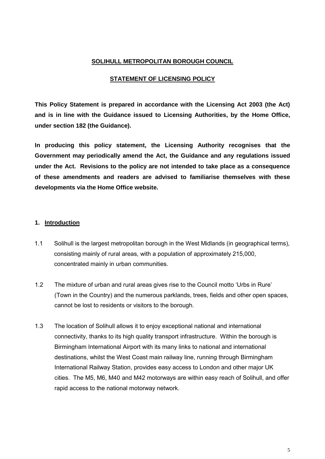## **SOLIHULL METROPOLITAN BOROUGH COUNCIL**

#### **STATEMENT OF LICENSING POLICY**

**This Policy Statement is prepared in accordance with the Licensing Act 2003 (the Act) and is in line with the Guidance issued to Licensing Authorities, by the Home Office, under section 182 (the Guidance).** 

**In producing this policy statement, the Licensing Authority recognises that the Government may periodically amend the Act, the Guidance and any regulations issued under the Act. Revisions to the policy are not intended to take place as a consequence of these amendments and readers are advised to familiarise themselves with these developments via the Home Office website.**

#### **1. Introduction**

- 1.1 Solihull is the largest metropolitan borough in the West Midlands (in geographical terms), consisting mainly of rural areas, with a population of approximately 215,000, concentrated mainly in urban communities.
- 1.2 The mixture of urban and rural areas gives rise to the Council motto 'Urbs in Rure' (Town in the Country) and the numerous parklands, trees, fields and other open spaces, cannot be lost to residents or visitors to the borough.
- 1.3 The location of Solihull allows it to enjoy exceptional national and international connectivity, thanks to its high quality transport infrastructure. Within the borough is Birmingham International Airport with its many links to national and international destinations, whilst the West Coast main railway line, running through Birmingham International Railway Station, provides easy access to London and other major UK cities. The M5, M6, M40 and M42 motorways are within easy reach of Solihull, and offer rapid access to the national motorway network.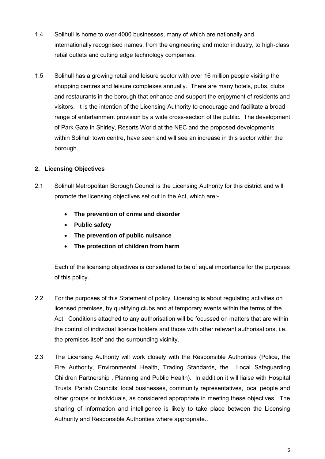- 1.4 Solihull is home to over 4000 businesses, many of which are nationally and internationally recognised names, from the engineering and motor industry, to high-class retail outlets and cutting edge technology companies.
- 1.5 Solihull has a growing retail and leisure sector with over 16 million people visiting the shopping centres and leisure complexes annually. There are many hotels, pubs, clubs and restaurants in the borough that enhance and support the enjoyment of residents and visitors. It is the intention of the Licensing Authority to encourage and facilitate a broad range of entertainment provision by a wide cross-section of the public. The development of Park Gate in Shirley, Resorts World at the NEC and the proposed developments within Solihull town centre, have seen and will see an increase in this sector within the borough.

# **2. Licensing Objectives**

- 2.1 Solihull Metropolitan Borough Council is the Licensing Authority for this district and will promote the licensing objectives set out in the Act, which are:-
	- **The prevention of crime and disorder**
	- **Public safety**
	- **The prevention of public nuisance**
	- **The protection of children from harm**

Each of the licensing objectives is considered to be of equal importance for the purposes of this policy.

- 2.2 For the purposes of this Statement of policy, Licensing is about regulating activities on licensed premises, by qualifying clubs and at temporary events within the terms of the Act. Conditions attached to any authorisation will be focussed on matters that are within the control of individual licence holders and those with other relevant authorisations, i.e. the premises itself and the surrounding vicinity.
- 2.3 The Licensing Authority will work closely with the Responsible Authorities (Police, the Fire Authority, Environmental Health, Trading Standards, the Local Safeguarding Children Partnership , Planning and Public Health). In addition it will liaise with Hospital Trusts, Parish Councils, local businesses, community representatives, local people and other groups or individuals, as considered appropriate in meeting these objectives. The sharing of information and intelligence is likely to take place between the Licensing Authority and Responsible Authorities where appropriate..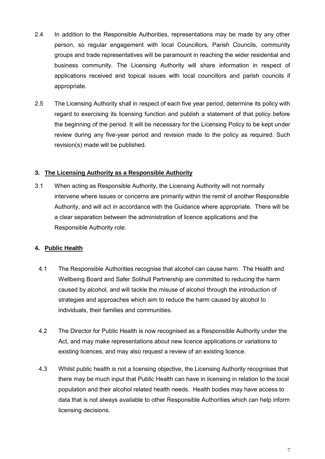- 2.4 In addition to the Responsible Authorities, representations may be made by any other person, so regular engagement with local Councillors, Parish Councils, community groups and trade representatives will be paramount in reaching the wider residential and business community. The Licensing Authority will share information in respect of applications received and topical issues with local councillors and parish councils if appropriate.
- 2.5 The Licensing Authority shall in respect of each five year period, determine its policy with regard to exercising its licensing function and publish a statement of that policy before the beginning of the period. It will be necessary for the Licensing Policy to be kept under review during any five-year period and revision made to the policy as required. Such revision(s) made will be published.

## **3. The Licensing Authority as a Responsible Authority**

3.1 When acting as Responsible Authority, the Licensing Authority will not normally intervene where issues or concerns are primarily within the remit of another Responsible Authority, and will act in accordance with the Guidance where appropriate. There will be a clear separation between the administration of licence applications and the Responsible Authority role.

## **4. Public Health**

- 4.1 The Responsible Authorities recognise that alcohol can cause harm. The Health and Wellbeing Board and Safer Solihull Partnership are committed to reducing the harm caused by alcohol, and will tackle the misuse of alcohol through the introduction of strategies and approaches which aim to reduce the harm caused by alcohol to individuals, their families and communities.
- 4.2 The Director for Public Health is now recognised as a Responsible Authority under the Act, and may make representations about new licence applications or variations to existing licences, and may also request a review of an existing licence.
- 4.3 Whilst public health is not a licensing objective, the Licensing Authority recognises that there may be much input that Public Health can have in licensing in relation to the local population and their alcohol related health needs. Health bodies may have access to data that is not always available to other Responsible Authorities which can help inform licensing decisions.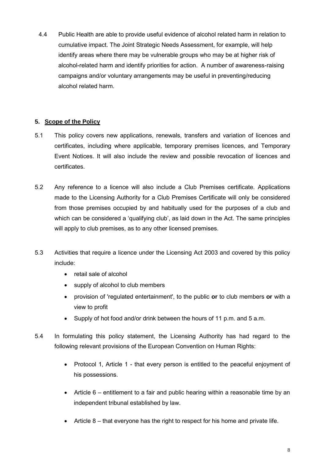4.4 Public Health are able to provide useful evidence of alcohol related harm in relation to cumulative impact. The Joint Strategic Needs Assessment, for example, will help identify areas where there may be vulnerable groups who may be at higher risk of alcohol-related harm and identify priorities for action. A number of awareness-raising campaigns and/or voluntary arrangements may be useful in preventing/reducing alcohol related harm.

## **5. Scope of the Policy**

- 5.1 This policy covers new applications, renewals, transfers and variation of licences and certificates, including where applicable, temporary premises licences, and Temporary Event Notices. It will also include the review and possible revocation of licences and certificates.
- 5.2 Any reference to a licence will also include a Club Premises certificate. Applications made to the Licensing Authority for a Club Premises Certificate will only be considered from those premises occupied by and habitually used for the purposes of a club and which can be considered a 'qualifying club', as laid down in the Act. The same principles will apply to club premises, as to any other licensed premises.
- 5.3 Activities that require a licence under the Licensing Act 2003 and covered by this policy include:
	- retail sale of alcohol
	- supply of alcohol to club members
	- provision of 'regulated entertainment', to the public **or** to club members **or** with a view to profit
	- Supply of hot food and/or drink between the hours of 11 p.m. and 5 a.m.
- 5.4 In formulating this policy statement, the Licensing Authority has had regard to the following relevant provisions of the European Convention on Human Rights:
	- Protocol 1, Article 1 that every person is entitled to the peaceful enjoyment of his possessions.
	- Article 6 entitlement to a fair and public hearing within a reasonable time by an independent tribunal established by law.
	- $\bullet$  Article 8 that everyone has the right to respect for his home and private life.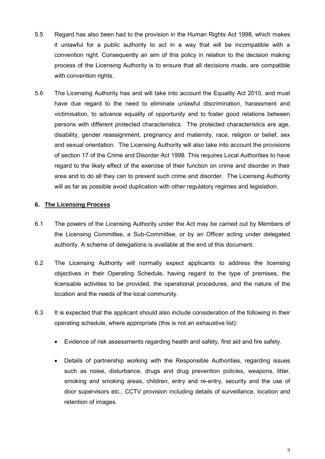- 5.5 Regard has also been had to the provision in the Human Rights Act 1998, which makes it unlawful for a public authority to act in a way that will be incompatible with a convention right. Consequently an aim of this policy in relation to the decision making process of the Licensing Authority is to ensure that all decisions made, are compatible with convention rights.
- 5.6 The Licensing Authority has and will take into account the Equality Act 2010, and must have due regard to the need to eliminate unlawful discrimination, harassment and victimisation, to advance equality of opportunity and to foster good relations between persons with different protected characteristics. The protected characteristics are age, disability, gender reassignment, pregnancy and maternity, race, religion or belief, sex and sexual orientation. The Licensing Authority will also take into account the provisions of section 17 of the Crime and Disorder Act 1998. This requires Local Authorities to have regard to the likely effect of the exercise of their function on crime and disorder in their area and to do all they can to prevent such crime and disorder. The Licensing Authority will as far as possible avoid duplication with other regulatory regimes and legislation.

## **6. The Licensing Process**

- 6.1 The powers of the Licensing Authority under the Act may be carried out by Members of the Licensing Committee, a Sub-Committee, or by an Officer acting under delegated authority. A scheme of delegations is available at the end of this document.
- 6.2 The Licensing Authority will normally expect applicants to address the licensing objectives in their Operating Schedule, having regard to the type of premises, the licensable activities to be provided, the operational procedures, and the nature of the location and the needs of the local community.
- 6.3 It is expected that the applicant should also include consideration of the following in their operating schedule, where appropriate (this is not an exhaustive list):
	- Evidence of risk assessments regarding health and safety, first aid and fire safety.
	- Details of partnership working with the Responsible Authorities, regarding issues such as noise, disturbance, drugs and drug prevention policies, weapons, litter, smoking and smoking areas, children, entry and re-entry, security and the use of door supervisors etc., CCTV provision including details of surveillance, location and retention of images.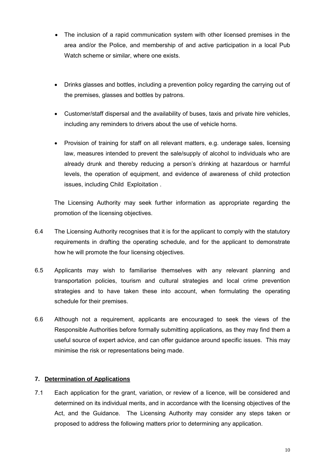- The inclusion of a rapid communication system with other licensed premises in the area and/or the Police, and membership of and active participation in a local Pub Watch scheme or similar, where one exists.
- Drinks glasses and bottles, including a prevention policy regarding the carrying out of the premises, glasses and bottles by patrons.
- Customer/staff dispersal and the availability of buses, taxis and private hire vehicles, including any reminders to drivers about the use of vehicle horns.
- Provision of training for staff on all relevant matters, e.g. underage sales, licensing law, measures intended to prevent the sale/supply of alcohol to individuals who are already drunk and thereby reducing a person's drinking at hazardous or harmful levels, the operation of equipment, and evidence of awareness of child protection issues, including Child Exploitation .

The Licensing Authority may seek further information as appropriate regarding the promotion of the licensing objectives.

- 6.4 The Licensing Authority recognises that it is for the applicant to comply with the statutory requirements in drafting the operating schedule, and for the applicant to demonstrate how he will promote the four licensing objectives.
- 6.5 Applicants may wish to familiarise themselves with any relevant planning and transportation policies, tourism and cultural strategies and local crime prevention strategies and to have taken these into account, when formulating the operating schedule for their premises.
- 6.6 Although not a requirement, applicants are encouraged to seek the views of the Responsible Authorities before formally submitting applications, as they may find them a useful source of expert advice, and can offer guidance around specific issues. This may minimise the risk or representations being made.

## **7. Determination of Applications**

7.1 Each application for the grant, variation, or review of a licence, will be considered and determined on its individual merits, and in accordance with the licensing objectives of the Act, and the Guidance. The Licensing Authority may consider any steps taken or proposed to address the following matters prior to determining any application.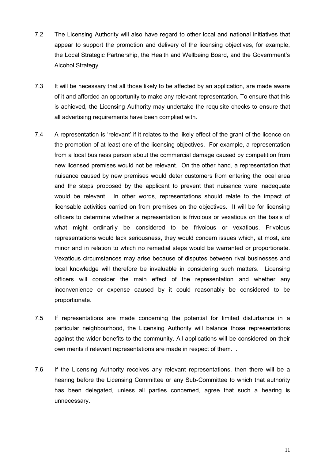- 7.2 The Licensing Authority will also have regard to other local and national initiatives that appear to support the promotion and delivery of the licensing objectives, for example, the Local Strategic Partnership, the Health and Wellbeing Board, and the Government's Alcohol Strategy.
- 7.3 It will be necessary that all those likely to be affected by an application, are made aware of it and afforded an opportunity to make any relevant representation. To ensure that this is achieved, the Licensing Authority may undertake the requisite checks to ensure that all advertising requirements have been complied with.
- 7.4 A representation is 'relevant' if it relates to the likely effect of the grant of the licence on the promotion of at least one of the licensing objectives. For example, a representation from a local business person about the commercial damage caused by competition from new licensed premises would not be relevant. On the other hand, a representation that nuisance caused by new premises would deter customers from entering the local area and the steps proposed by the applicant to prevent that nuisance were inadequate would be relevant. In other words, representations should relate to the impact of licensable activities carried on from premises on the objectives. It will be for licensing officers to determine whether a representation is frivolous or vexatious on the basis of what might ordinarily be considered to be frivolous or vexatious. Frivolous representations would lack seriousness, they would concern issues which, at most, are minor and in relation to which no remedial steps would be warranted or proportionate. Vexatious circumstances may arise because of disputes between rival businesses and local knowledge will therefore be invaluable in considering such matters. Licensing officers will consider the main effect of the representation and whether any inconvenience or expense caused by it could reasonably be considered to be proportionate.
- 7.5 If representations are made concerning the potential for limited disturbance in a particular neighbourhood, the Licensing Authority will balance those representations against the wider benefits to the community. All applications will be considered on their own merits if relevant representations are made in respect of them. .
- 7.6 If the Licensing Authority receives any relevant representations, then there will be a hearing before the Licensing Committee or any Sub-Committee to which that authority has been delegated, unless all parties concerned, agree that such a hearing is unnecessary.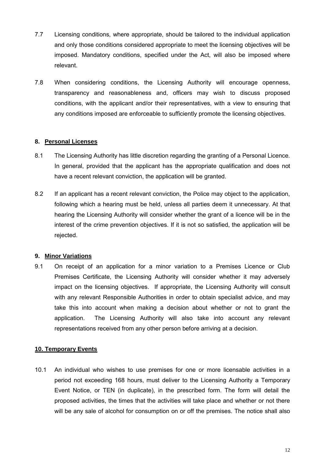- 7.7 Licensing conditions, where appropriate, should be tailored to the individual application and only those conditions considered appropriate to meet the licensing objectives will be imposed. Mandatory conditions, specified under the Act, will also be imposed where relevant.
- 7.8 When considering conditions, the Licensing Authority will encourage openness, transparency and reasonableness and, officers may wish to discuss proposed conditions, with the applicant and/or their representatives, with a view to ensuring that any conditions imposed are enforceable to sufficiently promote the licensing objectives.

## **8. Personal Licenses**

- 8.1 The Licensing Authority has little discretion regarding the granting of a Personal Licence. In general, provided that the applicant has the appropriate qualification and does not have a recent relevant conviction, the application will be granted.
- 8.2 If an applicant has a recent relevant conviction, the Police may object to the application, following which a hearing must be held, unless all parties deem it unnecessary. At that hearing the Licensing Authority will consider whether the grant of a licence will be in the interest of the crime prevention objectives. If it is not so satisfied, the application will be rejected.

## **9. Minor Variations**

9.1 On receipt of an application for a minor variation to a Premises Licence or Club Premises Certificate, the Licensing Authority will consider whether it may adversely impact on the licensing objectives. If appropriate, the Licensing Authority will consult with any relevant Responsible Authorities in order to obtain specialist advice, and may take this into account when making a decision about whether or not to grant the application. The Licensing Authority will also take into account any relevant representations received from any other person before arriving at a decision.

## **10. Temporary Events**

10.1 An individual who wishes to use premises for one or more licensable activities in a period not exceeding 168 hours, must deliver to the Licensing Authority a Temporary Event Notice, or TEN (in duplicate), in the prescribed form. The form will detail the proposed activities, the times that the activities will take place and whether or not there will be any sale of alcohol for consumption on or off the premises. The notice shall also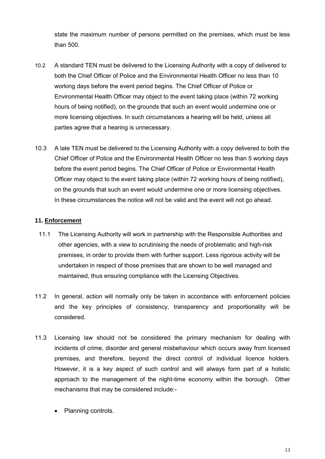state the maximum number of persons permitted on the premises, which must be less than 500.

- 10.2 A standard TEN must be delivered to the Licensing Authority with a copy of delivered to both the Chief Officer of Police and the Environmental Health Officer no less than 10 working days before the event period begins. The Chief Officer of Police or Environmental Health Officer may object to the event taking place (within 72 working hours of being notified), on the grounds that such an event would undermine one or more licensing objectives. In such circumstances a hearing will be held, unless all parties agree that a hearing is unnecessary.
- 10.3 A late TEN must be delivered to the Licensing Authority with a copy delivered to both the Chief Officer of Police and the Environmental Health Officer no less than 5 working days before the event period begins. The Chief Officer of Police or Environmental Health Officer may object to the event taking place (within 72 working hours of being notified), on the grounds that such an event would undermine one or more licensing objectives. In these circumstances the notice will not be valid and the event will not go ahead.

## **11. Enforcement**

- 11.1 The Licensing Authority will work in partnership with the Responsible Authorities and other agencies, with a view to scrutinising the needs of problematic and high-risk premises, in order to provide them with further support. Less rigorous activity will be undertaken in respect of those premises that are shown to be well managed and maintained, thus ensuring compliance with the Licensing Objectives.
- 11.2 In general, action will normally only be taken in accordance with enforcement policies and the key principles of consistency, transparency and proportionality will be considered.
- 11.3 Licensing law should not be considered the primary mechanism for dealing with incidents of crime, disorder and general misbehaviour which occurs away from licensed premises, and therefore, beyond the direct control of individual licence holders. However, it is a key aspect of such control and will always form part of a holistic approach to the management of the night-time economy within the borough. Other mechanisms that may be considered include:-
	- Planning controls.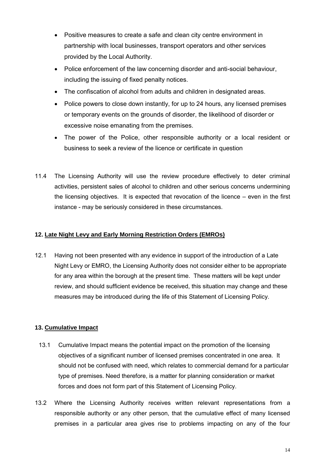- Positive measures to create a safe and clean city centre environment in partnership with local businesses, transport operators and other services provided by the Local Authority.
- Police enforcement of the law concerning disorder and anti-social behaviour, including the issuing of fixed penalty notices.
- The confiscation of alcohol from adults and children in designated areas.
- Police powers to close down instantly, for up to 24 hours, any licensed premises or temporary events on the grounds of disorder, the likelihood of disorder or excessive noise emanating from the premises.
- The power of the Police, other responsible authority or a local resident or business to seek a review of the licence or certificate in question
- 11.4 The Licensing Authority will use the review procedure effectively to deter criminal activities, persistent sales of alcohol to children and other serious concerns undermining the licensing objectives. It is expected that revocation of the licence – even in the first instance - may be seriously considered in these circumstances.

# **12. Late Night Levy and Early Morning Restriction Orders (EMROs)**

12.1 Having not been presented with any evidence in support of the introduction of a Late Night Levy or EMRO, the Licensing Authority does not consider either to be appropriate for any area within the borough at the present time. These matters will be kept under review, and should sufficient evidence be received, this situation may change and these measures may be introduced during the life of this Statement of Licensing Policy.

# **13. Cumulative Impact**

- 13.1 Cumulative Impact means the potential impact on the promotion of the licensing objectives of a significant number of licensed premises concentrated in one area. It should not be confused with need, which relates to commercial demand for a particular type of premises. Need therefore, is a matter for planning consideration or market forces and does not form part of this Statement of Licensing Policy.
- 13.2 Where the Licensing Authority receives written relevant representations from a responsible authority or any other person, that the cumulative effect of many licensed premises in a particular area gives rise to problems impacting on any of the four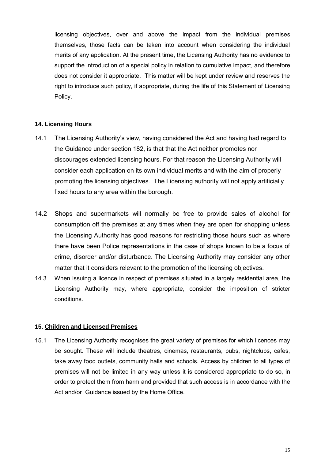licensing objectives, over and above the impact from the individual premises themselves, those facts can be taken into account when considering the individual merits of any application. At the present time, the Licensing Authority has no evidence to support the introduction of a special policy in relation to cumulative impact, and therefore does not consider it appropriate. This matter will be kept under review and reserves the right to introduce such policy, if appropriate, during the life of this Statement of Licensing Policy.

## **14. Licensing Hours**

- 14.1 The Licensing Authority's view, having considered the Act and having had regard to the Guidance under section 182, is that that the Act neither promotes nor discourages extended licensing hours. For that reason the Licensing Authority will consider each application on its own individual merits and with the aim of properly promoting the licensing objectives. The Licensing authority will not apply artificially fixed hours to any area within the borough.
- 14.2 Shops and supermarkets will normally be free to provide sales of alcohol for consumption off the premises at any times when they are open for shopping unless the Licensing Authority has good reasons for restricting those hours such as where there have been Police representations in the case of shops known to be a focus of crime, disorder and/or disturbance. The Licensing Authority may consider any other matter that it considers relevant to the promotion of the licensing objectives.
- 14.3 When issuing a licence in respect of premises situated in a largely residential area, the Licensing Authority may, where appropriate, consider the imposition of stricter conditions.

#### **15. Children and Licensed Premises**

15.1 The Licensing Authority recognises the great variety of premises for which licences may be sought. These will include theatres, cinemas, restaurants, pubs, nightclubs, cafes, take away food outlets, community halls and schools. Access by children to all types of premises will not be limited in any way unless it is considered appropriate to do so, in order to protect them from harm and provided that such access is in accordance with the Act and/or Guidance issued by the Home Office.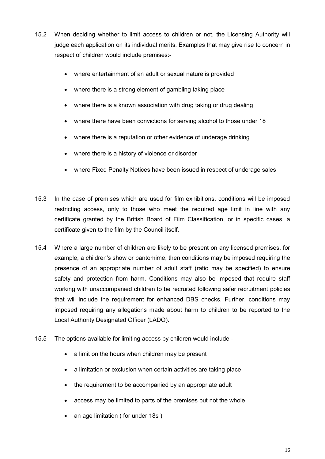- 15.2 When deciding whether to limit access to children or not, the Licensing Authority will judge each application on its individual merits. Examples that may give rise to concern in respect of children would include premises:
	- where entertainment of an adult or sexual nature is provided
	- where there is a strong element of gambling taking place
	- where there is a known association with drug taking or drug dealing
	- where there have been convictions for serving alcohol to those under 18
	- where there is a reputation or other evidence of underage drinking
	- where there is a history of violence or disorder
	- where Fixed Penalty Notices have been issued in respect of underage sales
- 15.3 In the case of premises which are used for film exhibitions, conditions will be imposed restricting access, only to those who meet the required age limit in line with any certificate granted by the British Board of Film Classification, or in specific cases, a certificate given to the film by the Council itself.
- 15.4 Where a large number of children are likely to be present on any licensed premises, for example, a children's show or pantomime, then conditions may be imposed requiring the presence of an appropriate number of adult staff (ratio may be specified) to ensure safety and protection from harm. Conditions may also be imposed that require staff working with unaccompanied children to be recruited following safer recruitment policies that will include the requirement for enhanced DBS checks. Further, conditions may imposed requiring any allegations made about harm to children to be reported to the Local Authority Designated Officer (LADO).
- 15.5 The options available for limiting access by children would include
	- a limit on the hours when children may be present
	- a limitation or exclusion when certain activities are taking place
	- the requirement to be accompanied by an appropriate adult
	- access may be limited to parts of the premises but not the whole
	- an age limitation ( for under 18s )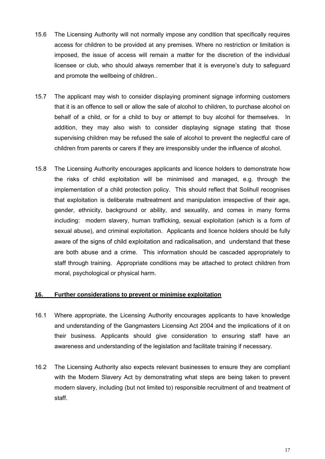- 15.6 The Licensing Authority will not normally impose any condition that specifically requires access for children to be provided at any premises. Where no restriction or limitation is imposed, the issue of access will remain a matter for the discretion of the individual licensee or club, who should always remember that it is everyone's duty to safeguard and promote the wellbeing of children..
- 15.7 The applicant may wish to consider displaying prominent signage informing customers that it is an offence to sell or allow the sale of alcohol to children, to purchase alcohol on behalf of a child, or for a child to buy or attempt to buy alcohol for themselves. In addition, they may also wish to consider displaying signage stating that those supervising children may be refused the sale of alcohol to prevent the neglectful care of children from parents or carers if they are irresponsibly under the influence of alcohol.
- 15.8 The Licensing Authority encourages applicants and licence holders to demonstrate how the risks of child exploitation will be minimised and managed, e.g. through the implementation of a child protection policy. This should reflect that Solihull recognises that exploitation is deliberate maltreatment and manipulation irrespective of their age, gender, ethnicity, background or ability, and sexuality, and comes in many forms including: modern slavery, human trafficking, sexual exploitation (which is a form of sexual abuse), and criminal exploitation. Applicants and licence holders should be fully aware of the signs of child exploitation and radicalisation, and understand that these are both abuse and a crime. This information should be cascaded appropriately to staff through training. Appropriate conditions may be attached to protect children from moral, psychological or physical harm.

#### **16. Further considerations to prevent or minimise exploitation**

- 16.1 Where appropriate, the Licensing Authority encourages applicants to have knowledge and understanding of the Gangmasters Licensing Act 2004 and the implications of it on their business. Applicants should give consideration to ensuring staff have an awareness and understanding of the legislation and facilitate training if necessary.
- 16.2 The Licensing Authority also expects relevant businesses to ensure they are compliant with the Modern Slavery Act by demonstrating what steps are being taken to prevent modern slavery, including (but not limited to) responsible recruitment of and treatment of staff.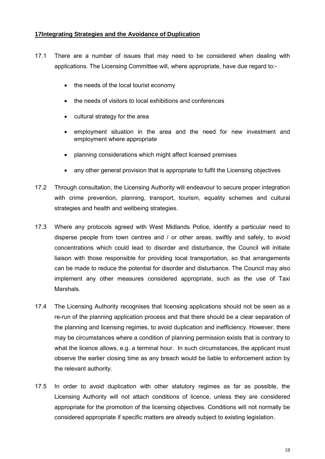#### **17Integrating Strategies and the Avoidance of Duplication**

- 17.1 There are a number of issues that may need to be considered when dealing with applications. The Licensing Committee will, where appropriate, have due regard to:-
	- the needs of the local tourist economy
	- the needs of visitors to local exhibitions and conferences
	- cultural strategy for the area
	- employment situation in the area and the need for new investment and employment where appropriate
	- planning considerations which might affect licensed premises
	- any other general provision that is appropriate to fulfil the Licensing objectives
- 17.2 Through consultation, the Licensing Authority will endeavour to secure proper integration with crime prevention, planning, transport, tourism, equality schemes and cultural strategies and health and wellbeing strategies.
- 17.3 Where any protocols agreed with West Midlands Police, identify a particular need to disperse people from town centres and / or other areas, swiftly and safely, to avoid concentrations which could lead to disorder and disturbance, the Council will initiate liaison with those responsible for providing local transportation, so that arrangements can be made to reduce the potential for disorder and disturbance. The Council may also implement any other measures considered appropriate, such as the use of Taxi Marshals.
- 17.4 The Licensing Authority recognises that licensing applications should not be seen as a re-run of the planning application process and that there should be a clear separation of the planning and licensing regimes, to avoid duplication and inefficiency. However, there may be circumstances where a condition of planning permission exists that is contrary to what the licence allows, e.g. a terminal hour. In such circumstances, the applicant must observe the earlier closing time as any breach would be liable to enforcement action by the relevant authority.
- 17.5 In order to avoid duplication with other statutory regimes as far as possible, the Licensing Authority will not attach conditions of licence, unless they are considered appropriate for the promotion of the licensing objectives. Conditions will not normally be considered appropriate if specific matters are already subject to existing legislation.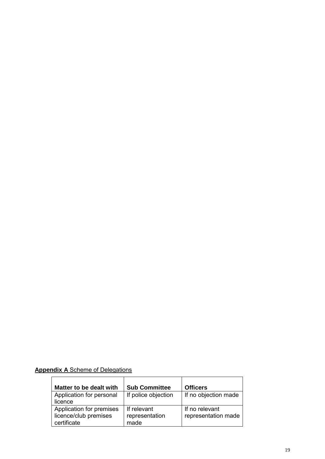# **Appendix A** Scheme of Delegations

| Matter to be dealt with  | <b>Sub Committee</b> | <b>Officers</b>      |
|--------------------------|----------------------|----------------------|
| Application for personal | If police objection  | If no objection made |
| licence                  |                      |                      |
| Application for premises | If relevant          | If no relevant       |
| licence/club premises    | representation       | representation made  |
| certificate              | made                 |                      |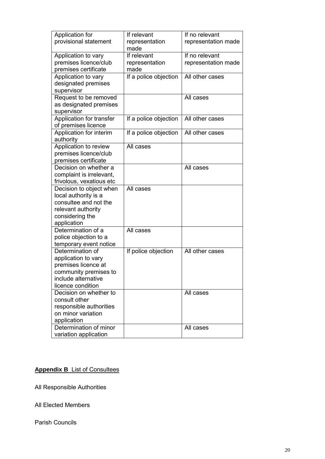| Application for          | If relevant           | If no relevant      |
|--------------------------|-----------------------|---------------------|
| provisional statement    | representation        | representation made |
|                          | made                  |                     |
| Application to vary      | If relevant           | If no relevant      |
| premises licence/club    | representation        | representation made |
| premises certificate     | made                  |                     |
| Application to vary      | If a police objection | All other cases     |
| designated premises      |                       |                     |
| supervisor               |                       |                     |
| Request to be removed    |                       | All cases           |
| as designated premises   |                       |                     |
| supervisor               |                       |                     |
| Application for transfer |                       | All other cases     |
|                          | If a police objection |                     |
| of premises licence      |                       |                     |
| Application for interim  | If a police objection | All other cases     |
| authority                |                       |                     |
| Application to review    | All cases             |                     |
| premises licence/club    |                       |                     |
| premises certificate     |                       |                     |
| Decision on whether a    |                       | All cases           |
| complaint is irrelevant, |                       |                     |
| frivolous, vexatious etc |                       |                     |
| Decision to object when  | All cases             |                     |
| local authority is a     |                       |                     |
| consultee and not the    |                       |                     |
| relevant authority       |                       |                     |
| considering the          |                       |                     |
| application              |                       |                     |
| Determination of a       | All cases             |                     |
| police objection to a    |                       |                     |
| temporary event notice   |                       |                     |
| Determination of         | If police objection   | All other cases     |
| application to vary      |                       |                     |
| premises licence at      |                       |                     |
| community premises to    |                       |                     |
| include alternative      |                       |                     |
| licence condition        |                       |                     |
| Decision on whether to   |                       | All cases           |
| consult other            |                       |                     |
| responsible authorities  |                       |                     |
| on minor variation       |                       |                     |
| application              |                       |                     |
| Determination of minor   |                       | All cases           |
| variation application    |                       |                     |

# **Appendix B** List of Consultees

All Responsible Authorities

All Elected Members

Parish Councils